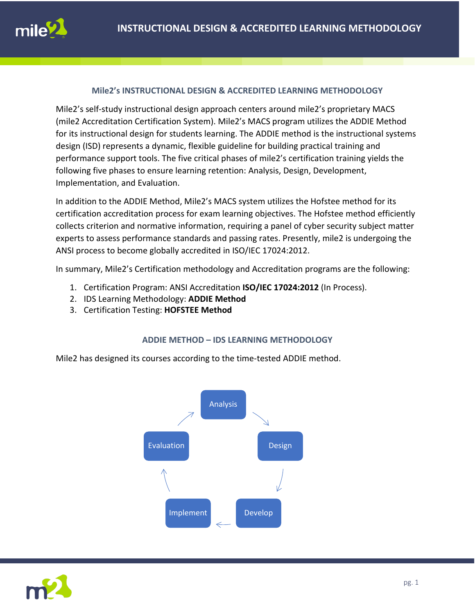### **Mile2's INSTRUCTIONAL DESIGN & ACCREDITED LEARNING METHODOLOGY**

Mile2's self-study instructional design approach centers around mile2's proprietary MACS (mile2 Accreditation Certification System). Mile2's MACS program utilizes the ADDIE Method for its instructional design for students learning. The ADDIE method is the instructional systems design (ISD) represents a dynamic, flexible guideline for building practical training and performance support tools. The five critical phases of mile2's certification training yields the following five phases to ensure learning retention: Analysis, Design, Development, Implementation, and Evaluation.

In addition to the ADDIE Method, Mile2's MACS system utilizes the Hofstee method for its certification accreditation process for exam learning objectives. The Hofstee method efficiently collects criterion and normative information, requiring a panel of cyber security subject matter experts to assess performance standards and passing rates. Presently, mile2 is undergoing the ANSI process to become globally accredited in ISO/IEC 17024:2012.

In summary, Mile2's Certification methodology and Accreditation programs are the following:

- 1. Certification Program: ANSI Accreditation **ISO/IEC 17024:2012** (In Process).
- 2. IDS Learning Methodology: **ADDIE Method**
- 3. Certification Testing: **HOFSTEE Method**

#### **ADDIE METHOD – IDS LEARNING METHODOLOGY**

Mile2 has designed its courses according to the time-tested ADDIE method.



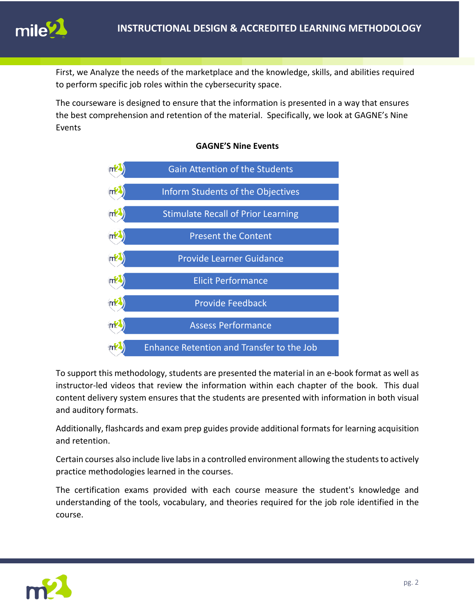

First, we Analyze the needs of the marketplace and the knowledge, skills, and abilities required to perform specific job roles within the cybersecurity space.

The courseware is designed to ensure that the information is presented in a way that ensures the best comprehension and retention of the material. Specifically, we look at GAGNE's Nine Events



## **GAGNE'S Nine Events**

To support this methodology, students are presented the material in an e-book format as well as instructor-led videos that review the information within each chapter of the book. This dual content delivery system ensures that the students are presented with information in both visual and auditory formats.

Additionally, flashcards and exam prep guides provide additional formats for learning acquisition and retention.

Certain courses also include live labs in a controlled environment allowing the students to actively practice methodologies learned in the courses.

The certification exams provided with each course measure the student's knowledge and understanding of the tools, vocabulary, and theories required for the job role identified in the course.

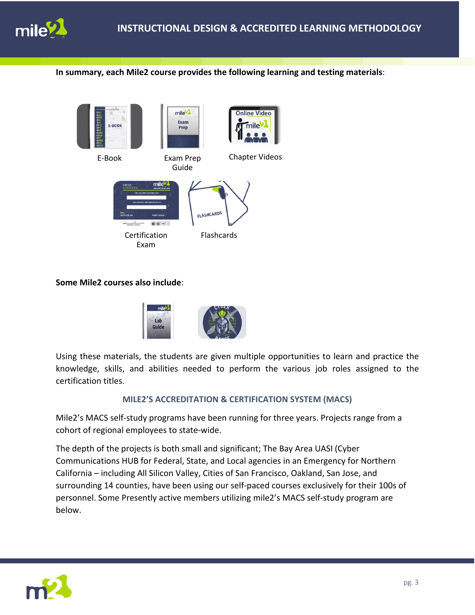

**In summary, each Mile2 course provides the following learning and testing materials**:



**Some Mile2 courses also include**:



Using these materials, the students are given multiple opportunities to learn and practice the knowledge, skills, and abilities needed to perform the various job roles assigned to the certification titles.

### **MILE2'S ACCREDITATION & CERTIFICATION SYSTEM (MACS)**

Mile2's MACS self-study programs have been running for three years. Projects range from a cohort of regional employees to state-wide.

The depth of the projects is both small and significant; The Bay Area UASI (Cyber Communications HUB for Federal, State, and Local agencies in an Emergency for Northern California – including All Silicon Valley, Cities of San Francisco, Oakland, San Jose, and surrounding 14 counties, have been using our self-paced courses exclusively for their 100s of personnel. Some Presently active members utilizing mile2's MACS self-study program are below.